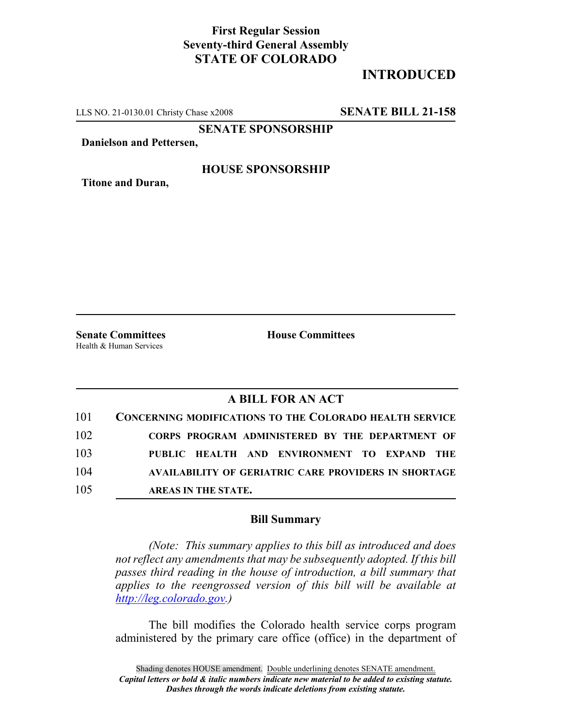## **First Regular Session Seventy-third General Assembly STATE OF COLORADO**

# **INTRODUCED**

LLS NO. 21-0130.01 Christy Chase x2008 **SENATE BILL 21-158**

**SENATE SPONSORSHIP**

**Danielson and Pettersen,**

### **HOUSE SPONSORSHIP**

**Titone and Duran,**

Health & Human Services

**Senate Committees House Committees** 

## **A BILL FOR AN ACT**

|     | 101 CONCERNING MODIFICATIONS TO THE COLORADO HEALTH SERVICE |
|-----|-------------------------------------------------------------|
| 102 | CORPS PROGRAM ADMINISTERED BY THE DEPARTMENT OF             |
| 103 | PUBLIC HEALTH AND ENVIRONMENT TO EXPAND THE                 |
| 104 | <b>AVAILABILITY OF GERIATRIC CARE PROVIDERS IN SHORTAGE</b> |
| 105 | AREAS IN THE STATE.                                         |

#### **Bill Summary**

*(Note: This summary applies to this bill as introduced and does not reflect any amendments that may be subsequently adopted. If this bill passes third reading in the house of introduction, a bill summary that applies to the reengrossed version of this bill will be available at http://leg.colorado.gov.)*

The bill modifies the Colorado health service corps program administered by the primary care office (office) in the department of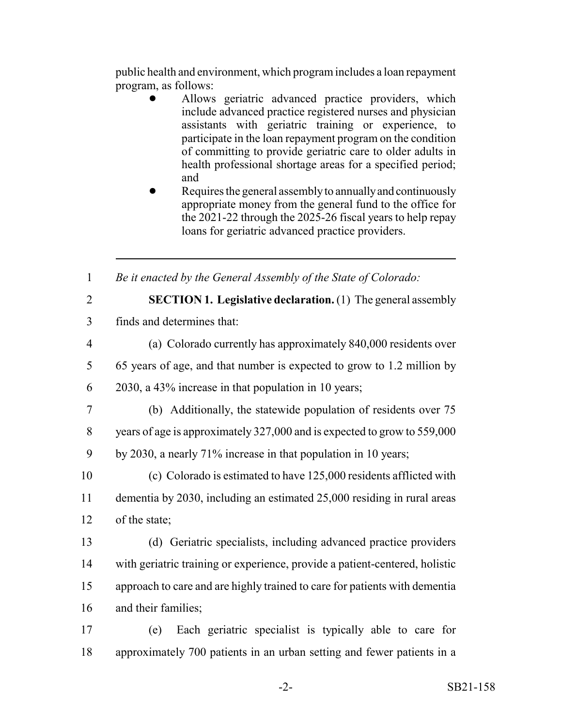public health and environment, which program includes a loan repayment program, as follows:

- ! Allows geriatric advanced practice providers, which include advanced practice registered nurses and physician assistants with geriatric training or experience, to participate in the loan repayment program on the condition of committing to provide geriatric care to older adults in health professional shortage areas for a specified period; and
- Requires the general assembly to annually and continuously appropriate money from the general fund to the office for the 2021-22 through the 2025-26 fiscal years to help repay loans for geriatric advanced practice providers.

1 *Be it enacted by the General Assembly of the State of Colorado:*

2 **SECTION 1. Legislative declaration.** (1) The general assembly

- 3 finds and determines that:
- 4 (a) Colorado currently has approximately 840,000 residents over 5 65 years of age, and that number is expected to grow to 1.2 million by
- 6 2030, a 43% increase in that population in 10 years;
- 7 (b) Additionally, the statewide population of residents over 75
- 8 years of age is approximately 327,000 and is expected to grow to 559,000
- 9 by 2030, a nearly 71% increase in that population in 10 years;

10 (c) Colorado is estimated to have 125,000 residents afflicted with 11 dementia by 2030, including an estimated 25,000 residing in rural areas 12 of the state;

- 13 (d) Geriatric specialists, including advanced practice providers 14 with geriatric training or experience, provide a patient-centered, holistic 15 approach to care and are highly trained to care for patients with dementia 16 and their families;
- 17 (e) Each geriatric specialist is typically able to care for 18 approximately 700 patients in an urban setting and fewer patients in a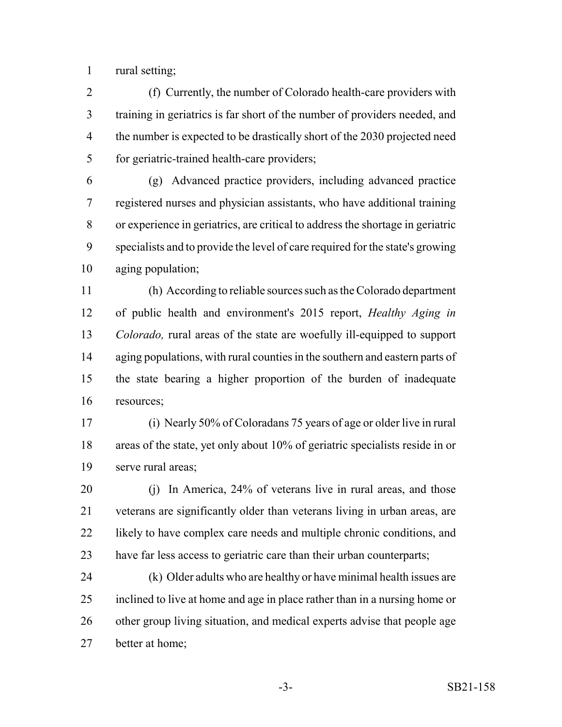rural setting;

 (f) Currently, the number of Colorado health-care providers with training in geriatrics is far short of the number of providers needed, and 4 the number is expected to be drastically short of the 2030 projected need for geriatric-trained health-care providers;

 (g) Advanced practice providers, including advanced practice registered nurses and physician assistants, who have additional training or experience in geriatrics, are critical to address the shortage in geriatric specialists and to provide the level of care required for the state's growing aging population;

 (h) According to reliable sources such as the Colorado department of public health and environment's 2015 report, *Healthy Aging in Colorado,* rural areas of the state are woefully ill-equipped to support 14 aging populations, with rural counties in the southern and eastern parts of the state bearing a higher proportion of the burden of inadequate resources;

 (i) Nearly 50% of Coloradans 75 years of age or older live in rural areas of the state, yet only about 10% of geriatric specialists reside in or serve rural areas;

 (j) In America, 24% of veterans live in rural areas, and those veterans are significantly older than veterans living in urban areas, are 22 likely to have complex care needs and multiple chronic conditions, and 23 have far less access to geriatric care than their urban counterparts;

 (k) Older adults who are healthy or have minimal health issues are inclined to live at home and age in place rather than in a nursing home or other group living situation, and medical experts advise that people age better at home;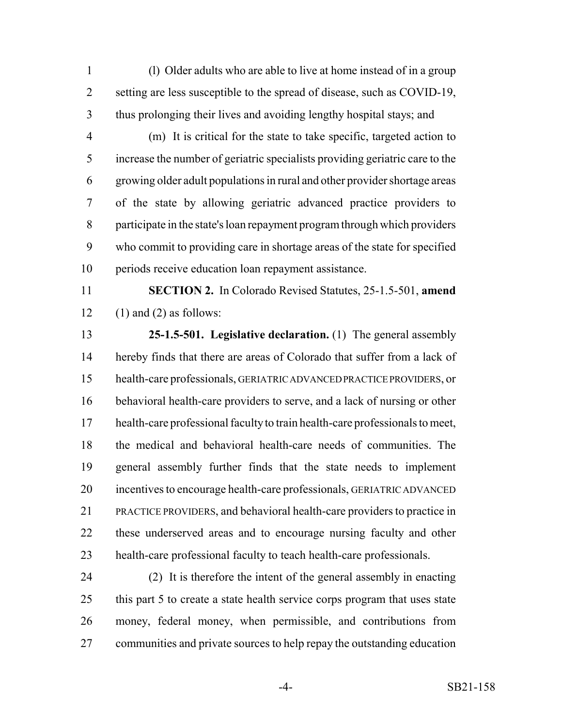(l) Older adults who are able to live at home instead of in a group setting are less susceptible to the spread of disease, such as COVID-19, thus prolonging their lives and avoiding lengthy hospital stays; and

 (m) It is critical for the state to take specific, targeted action to increase the number of geriatric specialists providing geriatric care to the growing older adult populations in rural and other provider shortage areas of the state by allowing geriatric advanced practice providers to participate in the state's loan repayment program through which providers who commit to providing care in shortage areas of the state for specified periods receive education loan repayment assistance.

 **SECTION 2.** In Colorado Revised Statutes, 25-1.5-501, **amend** 12 (1) and (2) as follows:

 **25-1.5-501. Legislative declaration.** (1) The general assembly hereby finds that there are areas of Colorado that suffer from a lack of health-care professionals, GERIATRIC ADVANCED PRACTICE PROVIDERS, or behavioral health-care providers to serve, and a lack of nursing or other health-care professional faculty to train health-care professionals to meet, the medical and behavioral health-care needs of communities. The general assembly further finds that the state needs to implement incentives to encourage health-care professionals, GERIATRIC ADVANCED PRACTICE PROVIDERS, and behavioral health-care providers to practice in these underserved areas and to encourage nursing faculty and other health-care professional faculty to teach health-care professionals.

 (2) It is therefore the intent of the general assembly in enacting 25 this part 5 to create a state health service corps program that uses state money, federal money, when permissible, and contributions from communities and private sources to help repay the outstanding education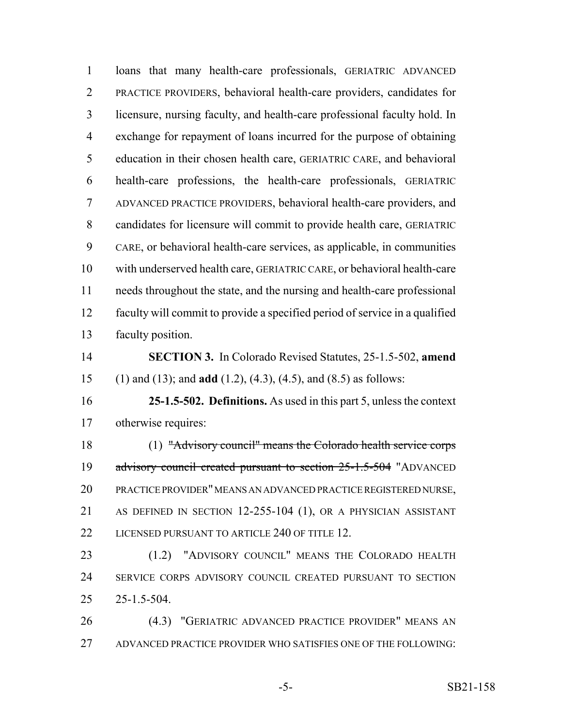loans that many health-care professionals, GERIATRIC ADVANCED PRACTICE PROVIDERS, behavioral health-care providers, candidates for licensure, nursing faculty, and health-care professional faculty hold. In exchange for repayment of loans incurred for the purpose of obtaining education in their chosen health care, GERIATRIC CARE, and behavioral health-care professions, the health-care professionals, GERIATRIC ADVANCED PRACTICE PROVIDERS, behavioral health-care providers, and candidates for licensure will commit to provide health care, GERIATRIC CARE, or behavioral health-care services, as applicable, in communities with underserved health care, GERIATRIC CARE, or behavioral health-care needs throughout the state, and the nursing and health-care professional faculty will commit to provide a specified period of service in a qualified faculty position. **SECTION 3.** In Colorado Revised Statutes, 25-1.5-502, **amend** (1) and (13); and **add** (1.2), (4.3), (4.5), and (8.5) as follows: **25-1.5-502. Definitions.** As used in this part 5, unless the context otherwise requires: (1) "Advisory council" means the Colorado health service corps 19 advisory council created pursuant to section 25-1.5-504 "ADVANCED PRACTICE PROVIDER" MEANS AN ADVANCED PRACTICE REGISTERED NURSE, AS DEFINED IN SECTION 12-255-104 (1), OR A PHYSICIAN ASSISTANT 22 LICENSED PURSUANT TO ARTICLE 240 OF TITLE 12. (1.2) "ADVISORY COUNCIL" MEANS THE COLORADO HEALTH SERVICE CORPS ADVISORY COUNCIL CREATED PURSUANT TO SECTION 25-1.5-504. (4.3) "GERIATRIC ADVANCED PRACTICE PROVIDER" MEANS AN ADVANCED PRACTICE PROVIDER WHO SATISFIES ONE OF THE FOLLOWING: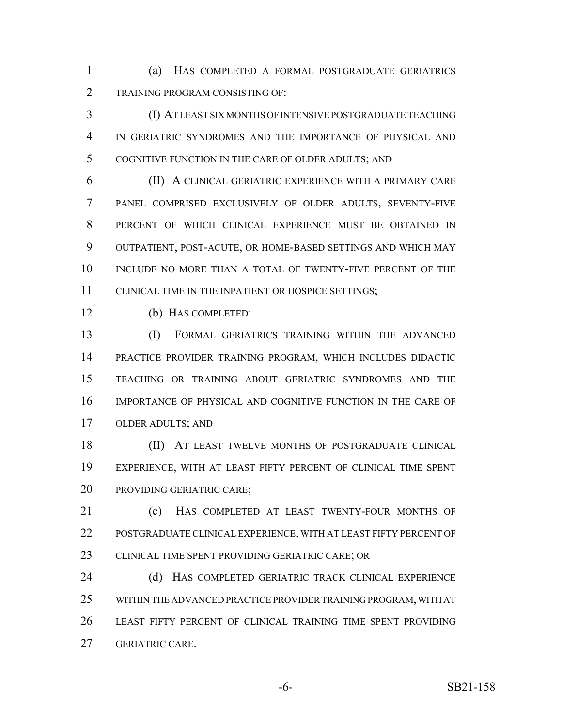(a) HAS COMPLETED A FORMAL POSTGRADUATE GERIATRICS TRAINING PROGRAM CONSISTING OF:

 (I) AT LEAST SIX MONTHS OF INTENSIVE POSTGRADUATE TEACHING IN GERIATRIC SYNDROMES AND THE IMPORTANCE OF PHYSICAL AND COGNITIVE FUNCTION IN THE CARE OF OLDER ADULTS; AND

 (II) A CLINICAL GERIATRIC EXPERIENCE WITH A PRIMARY CARE PANEL COMPRISED EXCLUSIVELY OF OLDER ADULTS, SEVENTY-FIVE PERCENT OF WHICH CLINICAL EXPERIENCE MUST BE OBTAINED IN OUTPATIENT, POST-ACUTE, OR HOME-BASED SETTINGS AND WHICH MAY 10 INCLUDE NO MORE THAN A TOTAL OF TWENTY-FIVE PERCENT OF THE CLINICAL TIME IN THE INPATIENT OR HOSPICE SETTINGS;

(b) HAS COMPLETED:

 (I) FORMAL GERIATRICS TRAINING WITHIN THE ADVANCED PRACTICE PROVIDER TRAINING PROGRAM, WHICH INCLUDES DIDACTIC TEACHING OR TRAINING ABOUT GERIATRIC SYNDROMES AND THE IMPORTANCE OF PHYSICAL AND COGNITIVE FUNCTION IN THE CARE OF OLDER ADULTS; AND

18 (II) AT LEAST TWELVE MONTHS OF POSTGRADUATE CLINICAL EXPERIENCE, WITH AT LEAST FIFTY PERCENT OF CLINICAL TIME SPENT PROVIDING GERIATRIC CARE;

 (c) HAS COMPLETED AT LEAST TWENTY-FOUR MONTHS OF POSTGRADUATE CLINICAL EXPERIENCE, WITH AT LEAST FIFTY PERCENT OF 23 CLINICAL TIME SPENT PROVIDING GERIATRIC CARE; OR

 (d) HAS COMPLETED GERIATRIC TRACK CLINICAL EXPERIENCE WITHIN THE ADVANCED PRACTICE PROVIDER TRAINING PROGRAM, WITH AT LEAST FIFTY PERCENT OF CLINICAL TRAINING TIME SPENT PROVIDING GERIATRIC CARE.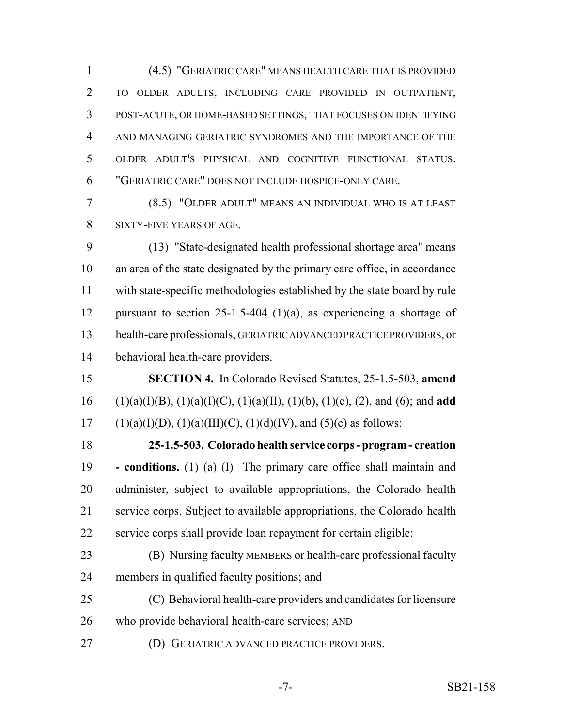(4.5) "GERIATRIC CARE" MEANS HEALTH CARE THAT IS PROVIDED TO OLDER ADULTS, INCLUDING CARE PROVIDED IN OUTPATIENT, POST-ACUTE, OR HOME-BASED SETTINGS, THAT FOCUSES ON IDENTIFYING AND MANAGING GERIATRIC SYNDROMES AND THE IMPORTANCE OF THE OLDER ADULT'S PHYSICAL AND COGNITIVE FUNCTIONAL STATUS. "GERIATRIC CARE" DOES NOT INCLUDE HOSPICE-ONLY CARE.

 (8.5) "OLDER ADULT" MEANS AN INDIVIDUAL WHO IS AT LEAST SIXTY-FIVE YEARS OF AGE.

 (13) "State-designated health professional shortage area" means an area of the state designated by the primary care office, in accordance with state-specific methodologies established by the state board by rule 12 pursuant to section 25-1.5-404 (1)(a), as experiencing a shortage of health-care professionals, GERIATRIC ADVANCED PRACTICE PROVIDERS, or behavioral health-care providers.

 **SECTION 4.** In Colorado Revised Statutes, 25-1.5-503, **amend** (1)(a)(I)(B), (1)(a)(I)(C), (1)(a)(II), (1)(b), (1)(c), (2), and (6); and **add** 17 (1)(a)(I)(D), (1)(a)(III)(C), (1)(d)(IV), and (5)(c) as follows:

 **25-1.5-503. Colorado health service corps - program - creation - conditions.** (1) (a) (I) The primary care office shall maintain and administer, subject to available appropriations, the Colorado health service corps. Subject to available appropriations, the Colorado health service corps shall provide loan repayment for certain eligible:

- (B) Nursing faculty MEMBERS or health-care professional faculty 24 members in qualified faculty positions; and
- (C) Behavioral health-care providers and candidates for licensure who provide behavioral health-care services; AND
- (D) GERIATRIC ADVANCED PRACTICE PROVIDERS.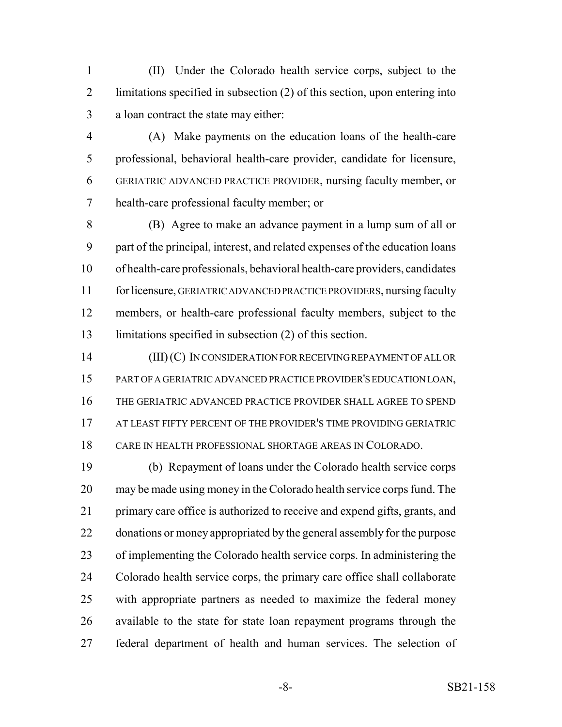(II) Under the Colorado health service corps, subject to the limitations specified in subsection (2) of this section, upon entering into a loan contract the state may either:

 (A) Make payments on the education loans of the health-care professional, behavioral health-care provider, candidate for licensure, GERIATRIC ADVANCED PRACTICE PROVIDER, nursing faculty member, or health-care professional faculty member; or

 (B) Agree to make an advance payment in a lump sum of all or part of the principal, interest, and related expenses of the education loans of health-care professionals, behavioral health-care providers, candidates for licensure, GERIATRIC ADVANCED PRACTICE PROVIDERS, nursing faculty members, or health-care professional faculty members, subject to the limitations specified in subsection (2) of this section.

 (III) (C) IN CONSIDERATION FOR RECEIVING REPAYMENT OF ALL OR PART OF A GERIATRIC ADVANCED PRACTICE PROVIDER'S EDUCATION LOAN, THE GERIATRIC ADVANCED PRACTICE PROVIDER SHALL AGREE TO SPEND 17 AT LEAST FIFTY PERCENT OF THE PROVIDER'S TIME PROVIDING GERIATRIC CARE IN HEALTH PROFESSIONAL SHORTAGE AREAS IN COLORADO.

 (b) Repayment of loans under the Colorado health service corps may be made using money in the Colorado health service corps fund. The primary care office is authorized to receive and expend gifts, grants, and 22 donations or money appropriated by the general assembly for the purpose of implementing the Colorado health service corps. In administering the Colorado health service corps, the primary care office shall collaborate with appropriate partners as needed to maximize the federal money available to the state for state loan repayment programs through the federal department of health and human services. The selection of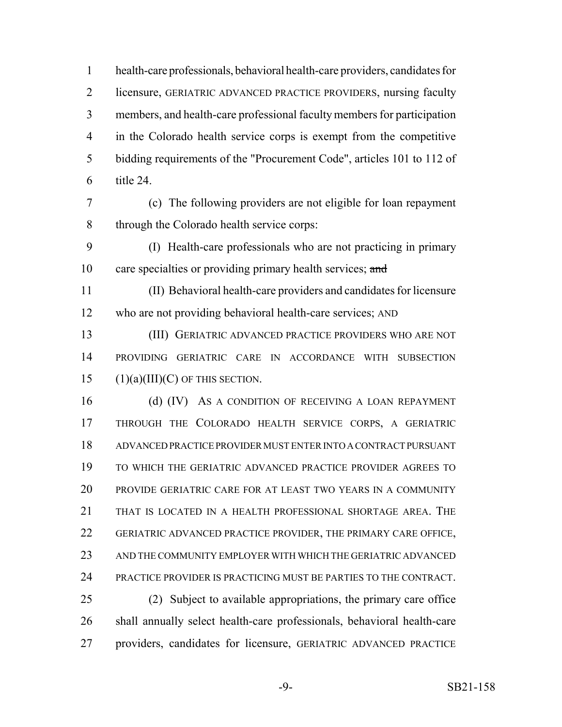health-care professionals, behavioral health-care providers, candidates for licensure, GERIATRIC ADVANCED PRACTICE PROVIDERS, nursing faculty members, and health-care professional faculty members for participation in the Colorado health service corps is exempt from the competitive bidding requirements of the "Procurement Code", articles 101 to 112 of title 24.

 (c) The following providers are not eligible for loan repayment through the Colorado health service corps:

 (I) Health-care professionals who are not practicing in primary 10 care specialties or providing primary health services; and

 (II) Behavioral health-care providers and candidates for licensure who are not providing behavioral health-care services; AND

 (III) GERIATRIC ADVANCED PRACTICE PROVIDERS WHO ARE NOT PROVIDING GERIATRIC CARE IN ACCORDANCE WITH SUBSECTION 15  $(1)(a)(III)(C)$  OF THIS SECTION.

16 (d) (IV) As a condition of receiving a loan repayment THROUGH THE COLORADO HEALTH SERVICE CORPS, A GERIATRIC ADVANCED PRACTICE PROVIDER MUST ENTER INTO A CONTRACT PURSUANT TO WHICH THE GERIATRIC ADVANCED PRACTICE PROVIDER AGREES TO PROVIDE GERIATRIC CARE FOR AT LEAST TWO YEARS IN A COMMUNITY THAT IS LOCATED IN A HEALTH PROFESSIONAL SHORTAGE AREA. THE GERIATRIC ADVANCED PRACTICE PROVIDER, THE PRIMARY CARE OFFICE, AND THE COMMUNITY EMPLOYER WITH WHICH THE GERIATRIC ADVANCED PRACTICE PROVIDER IS PRACTICING MUST BE PARTIES TO THE CONTRACT. (2) Subject to available appropriations, the primary care office

 shall annually select health-care professionals, behavioral health-care providers, candidates for licensure, GERIATRIC ADVANCED PRACTICE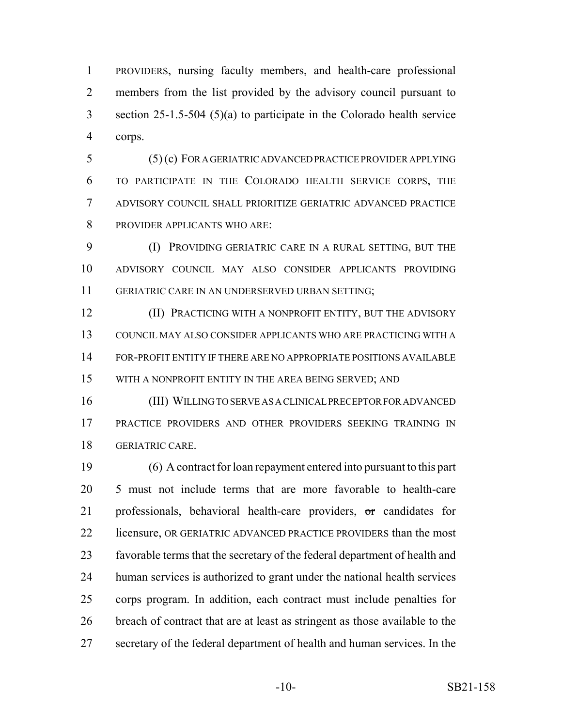PROVIDERS, nursing faculty members, and health-care professional members from the list provided by the advisory council pursuant to section 25-1.5-504 (5)(a) to participate in the Colorado health service corps.

 (5) (c) FOR A GERIATRIC ADVANCED PRACTICE PROVIDER APPLYING TO PARTICIPATE IN THE COLORADO HEALTH SERVICE CORPS, THE ADVISORY COUNCIL SHALL PRIORITIZE GERIATRIC ADVANCED PRACTICE PROVIDER APPLICANTS WHO ARE:

 (I) PROVIDING GERIATRIC CARE IN A RURAL SETTING, BUT THE ADVISORY COUNCIL MAY ALSO CONSIDER APPLICANTS PROVIDING GERIATRIC CARE IN AN UNDERSERVED URBAN SETTING;

**(II) PRACTICING WITH A NONPROFIT ENTITY, BUT THE ADVISORY**  COUNCIL MAY ALSO CONSIDER APPLICANTS WHO ARE PRACTICING WITH A FOR-PROFIT ENTITY IF THERE ARE NO APPROPRIATE POSITIONS AVAILABLE WITH A NONPROFIT ENTITY IN THE AREA BEING SERVED; AND

 (III) WILLING TO SERVE AS A CLINICAL PRECEPTOR FOR ADVANCED PRACTICE PROVIDERS AND OTHER PROVIDERS SEEKING TRAINING IN GERIATRIC CARE.

 (6) A contract for loan repayment entered into pursuant to this part 5 must not include terms that are more favorable to health-care professionals, behavioral health-care providers, or candidates for 22 licensure, OR GERIATRIC ADVANCED PRACTICE PROVIDERS than the most favorable terms that the secretary of the federal department of health and human services is authorized to grant under the national health services corps program. In addition, each contract must include penalties for breach of contract that are at least as stringent as those available to the secretary of the federal department of health and human services. In the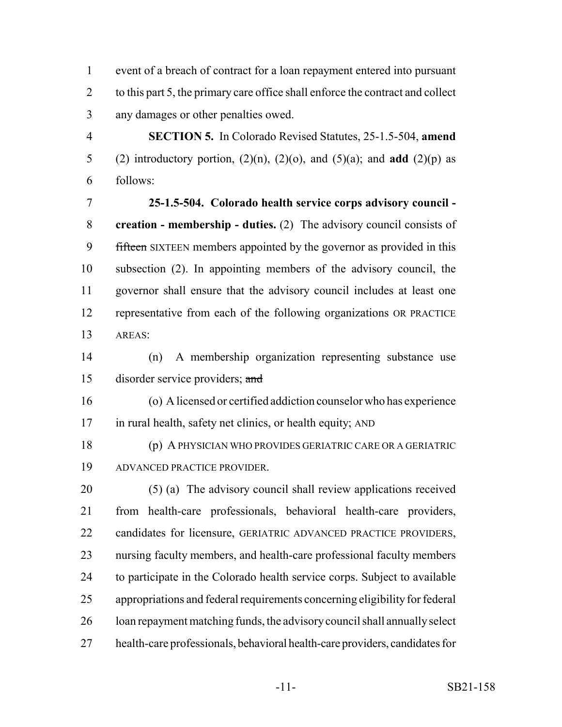event of a breach of contract for a loan repayment entered into pursuant 2 to this part 5, the primary care office shall enforce the contract and collect any damages or other penalties owed.

 **SECTION 5.** In Colorado Revised Statutes, 25-1.5-504, **amend** 5 (2) introductory portion,  $(2)(n)$ ,  $(2)(o)$ , and  $(5)(a)$ ; and **add**  $(2)(p)$  as follows:

 **25-1.5-504. Colorado health service corps advisory council - creation - membership - duties.** (2) The advisory council consists of 9 fifteen SIXTEEN members appointed by the governor as provided in this subsection (2). In appointing members of the advisory council, the governor shall ensure that the advisory council includes at least one representative from each of the following organizations OR PRACTICE AREAS:

 (n) A membership organization representing substance use disorder service providers; and

 (o) A licensed or certified addiction counselor who has experience in rural health, safety net clinics, or health equity; AND

 (p) A PHYSICIAN WHO PROVIDES GERIATRIC CARE OR A GERIATRIC ADVANCED PRACTICE PROVIDER.

 (5) (a) The advisory council shall review applications received from health-care professionals, behavioral health-care providers, candidates for licensure, GERIATRIC ADVANCED PRACTICE PROVIDERS, nursing faculty members, and health-care professional faculty members to participate in the Colorado health service corps. Subject to available appropriations and federal requirements concerning eligibility for federal loan repayment matching funds, the advisory council shall annually select health-care professionals, behavioral health-care providers, candidates for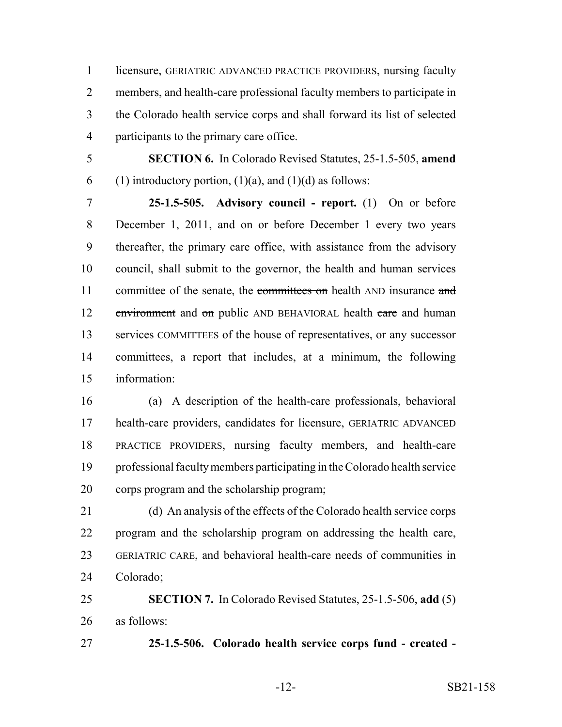licensure, GERIATRIC ADVANCED PRACTICE PROVIDERS, nursing faculty members, and health-care professional faculty members to participate in the Colorado health service corps and shall forward its list of selected participants to the primary care office.

 **SECTION 6.** In Colorado Revised Statutes, 25-1.5-505, **amend** 6 (1) introductory portion,  $(1)(a)$ , and  $(1)(d)$  as follows:

 **25-1.5-505. Advisory council - report.** (1) On or before December 1, 2011, and on or before December 1 every two years thereafter, the primary care office, with assistance from the advisory council, shall submit to the governor, the health and human services 11 committee of the senate, the committees on health AND insurance and 12 environment and on public AND BEHAVIORAL health care and human services COMMITTEES of the house of representatives, or any successor committees, a report that includes, at a minimum, the following information:

 (a) A description of the health-care professionals, behavioral health-care providers, candidates for licensure, GERIATRIC ADVANCED PRACTICE PROVIDERS, nursing faculty members, and health-care professional faculty members participating in the Colorado health service corps program and the scholarship program;

 (d) An analysis of the effects of the Colorado health service corps program and the scholarship program on addressing the health care, GERIATRIC CARE, and behavioral health-care needs of communities in Colorado;

 **SECTION 7.** In Colorado Revised Statutes, 25-1.5-506, **add** (5) as follows:

**25-1.5-506. Colorado health service corps fund - created -**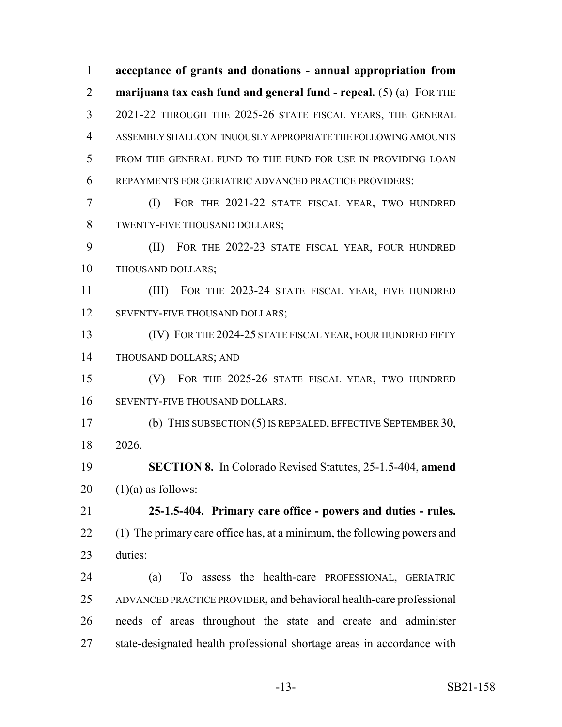**acceptance of grants and donations - annual appropriation from marijuana tax cash fund and general fund - repeal.** (5) (a) FOR THE 2021-22 THROUGH THE 2025-26 STATE FISCAL YEARS, THE GENERAL ASSEMBLY SHALL CONTINUOUSLY APPROPRIATE THE FOLLOWING AMOUNTS FROM THE GENERAL FUND TO THE FUND FOR USE IN PROVIDING LOAN REPAYMENTS FOR GERIATRIC ADVANCED PRACTICE PROVIDERS: (I) FOR THE 2021-22 STATE FISCAL YEAR, TWO HUNDRED TWENTY-FIVE THOUSAND DOLLARS; (II) FOR THE 2022-23 STATE FISCAL YEAR, FOUR HUNDRED THOUSAND DOLLARS; (III) FOR THE 2023-24 STATE FISCAL YEAR, FIVE HUNDRED 12 SEVENTY-FIVE THOUSAND DOLLARS; 13 (IV) FOR THE 2024-25 STATE FISCAL YEAR, FOUR HUNDRED FIFTY THOUSAND DOLLARS; AND (V) FOR THE 2025-26 STATE FISCAL YEAR, TWO HUNDRED SEVENTY-FIVE THOUSAND DOLLARS. (b) THIS SUBSECTION (5) IS REPEALED, EFFECTIVE SEPTEMBER 30, 2026. **SECTION 8.** In Colorado Revised Statutes, 25-1.5-404, **amend**  $20 \quad (1)(a)$  as follows: **25-1.5-404. Primary care office - powers and duties - rules.** 22 (1) The primary care office has, at a minimum, the following powers and duties: (a) To assess the health-care PROFESSIONAL, GERIATRIC ADVANCED PRACTICE PROVIDER, and behavioral health-care professional needs of areas throughout the state and create and administer state-designated health professional shortage areas in accordance with